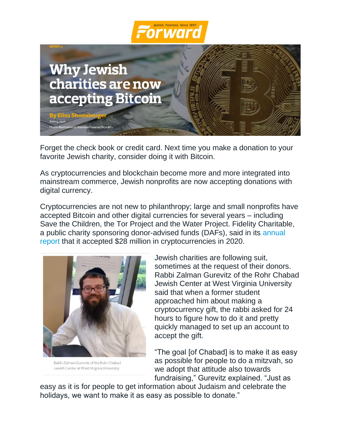



Forget the check book or credit card. Next time you make a donation to your favorite Jewish charity, consider doing it with Bitcoin.

As cryptocurrencies and blockchain become more and more integrated into mainstream commerce, Jewish nonprofits are now accepting donations with digital currency.

Cryptocurrencies are not new to philanthropy; large and small nonprofits have accepted Bitcoin and other digital currencies for several years – including Save the Children, the Tor Project and the Water Project. Fidelity Charitable, a public charity sponsoring donor-advised funds (DAFs), said in its [annual](https://www.fidelitycharitable.org/insights/2021-giving-report.html)  [report](https://www.fidelitycharitable.org/insights/2021-giving-report.html) that it accepted \$28 million in cryptocurrencies in 2020.



Rabbi Zalman Gurevitz of the Rohr Chabad Jewish Center at West Virginia University.

Jewish charities are following suit, sometimes at the request of their donors. Rabbi Zalman Gurevitz of the Rohr Chabad Jewish Center at West Virginia University said that when a former student approached him about making a cryptocurrency gift, the rabbi asked for 24 hours to figure how to do it and pretty quickly managed to set up an account to accept the gift.

"The goal [of Chabad] is to make it as easy as possible for people to do a mitzvah, so we adopt that attitude also towards fundraising," Gurevitz explained. "Just as

easy as it is for people to get information about Judaism and celebrate the holidays, we want to make it as easy as possible to donate."